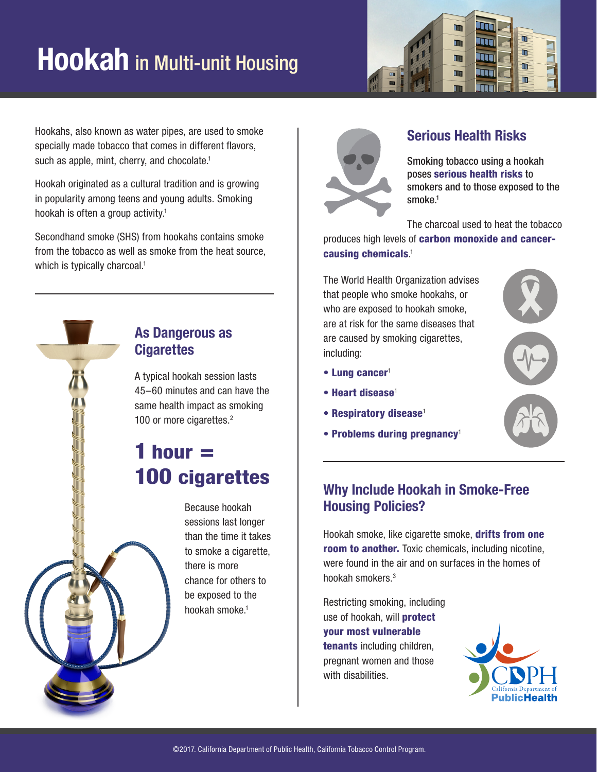## **Hookah** in Multi-unit Housing



Hookahs, also known as water pipes, are used to smoke specially made tobacco that comes in different flavors, such as apple, mint, cherry, and chocolate.<sup>1</sup>

Hookah originated as a cultural tradition and is growing in popularity among teens and young adults. Smoking hookah is often a group activity.<sup>1</sup>

Secondhand smoke (SHS) from hookahs contains smoke from the tobacco as well as smoke from the heat source, which is typically charcoal.<sup>1</sup>



A typical hookah session lasts 45–60 minutes and can have the same health impact as smoking 100 or more cigarettes.<sup>2</sup>

## 1 hour  $=$ 100 cigarettes

Because hookah sessions last longer than the time it takes to smoke a cigarette, there is more chance for others to be exposed to the hookah smoke.1



## **Serious Health Risks**

Smoking tobacco using a hookah poses serious health risks to smokers and to those exposed to the smoke.<sup>1</sup>

The charcoal used to heat the tobacco

produces high levels of carbon monoxide and cancercausing chemicals. 1

The World Health Organization advises that people who smoke hookahs, or who are exposed to hookah smoke, are at risk for the same diseases that are caused by smoking cigarettes, including:



- Lung cancer<sup>1</sup>
- Heart disease<sup>1</sup>
- Respiratory disease<sup>1</sup>
- Problems during pregnancy<sup>1</sup>

## **Why Include Hookah in Smoke-Free Housing Policies?**

Hookah smoke, like cigarette smoke, drifts from one room to another. Toxic chemicals, including nicotine, were found in the air and on surfaces in the homes of hookah smokers.3

Restricting smoking, including use of hookah, will protect your most vulnerable tenants including children, pregnant women and those with disabilities.